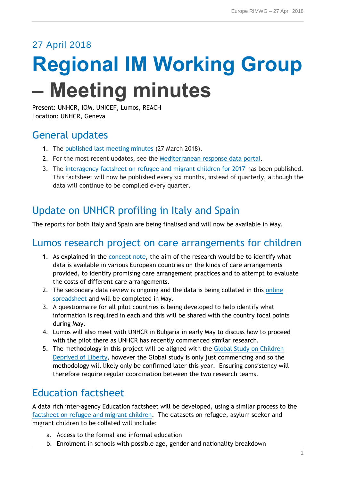### 27 April 2018

# **Regional IM Working Group – Meeting minutes**

Present: UNHCR, IOM, UNICEF, Lumos, REACH Location: UNHCR, Geneva

## General updates

- 1. The [published last meeting minutes](https://data2.unhcr.org/en/documents/details/63247) (27 March 2018).
- 2. For the most recent updates, see the [Mediterranean response data portal.](http://data.unhcr.org/mediterranean/regional.php)
- 3. The [interagency factsheet on refugee and migrant children for 2017](https://data2.unhcr.org/en/documents/details/63435) has been published. This factsheet will now be published every six months, instead of quarterly, although the data will continue to be compiled every quarter.

# Update on UNHCR profiling in Italy and Spain

The reports for both Italy and Spain are being finalised and will now be available in May.

## Lumos research project on care arrangements for children

- 1. As explained in the [concept note,](https://www.dropbox.com/s/qfpk3qxjf1x23w1/Concept%20note%20-%20Forms%20of%20Care%20for%20UASC%20in%20Europe%20FINAL%20DRAFT.docx?dl=0) the aim of the research would be to identify what data is available in various European countries on the kinds of care arrangements provided, to identify promising care arrangement practices and to attempt to evaluate the costs of different care arrangements.
- 2. The secondary data review is ongoing and the data is being collated in this online [spreadsheet](file:///C:/Dropbox/UNHCR%20Europe%20IM%20material%20Europe%20Response/07.%20IMWG/Meetings/Thanks%20for%20the%20call%20last%20week.%20I’m%20resending%20the%20link%20to%20the%20Google%20Sheet%20where%20I%20am%20collecting%20the%20secondary%20data%20https:/docs.google.com/spreadsheets/d/1dVsYGC29_31JSefsU5LTHn7YPHsQ7S8i1LY-HyRPlXM/edit?usp=sharing) and will be completed in May.
- 3. A questionnaire for all pilot countries is being developed to help identify what information is required in each and this will be shared with the country focal points during May.
- 4. Lumos will also meet with UNHCR in Bulgaria in early May to discuss how to proceed with the pilot there as UNHCR has recently commenced similar research.
- 5. The methodology in this project will be aligned with the [Global Study on Children](https://childrendeprivedofliberty.info/about/scope-and-methodology-of-the-study/)  [Deprived of Liberty,](https://childrendeprivedofliberty.info/about/scope-and-methodology-of-the-study/) however the Global study is only just commencing and so the methodology will likely only be confirmed later this year. Ensuring consistency will therefore require regular coordination between the two research teams.

# Education factsheet

A data rich inter-agency Education factsheet will be developed, using a similar process to the [factsheet on refugee and migrant children.](https://data2.unhcr.org/en/documents/details/63435) The datasets on refugee, asylum seeker and migrant children to be collated will include:

- a. Access to the formal and informal education
- b. Enrolment in schools with possible age, gender and nationality breakdown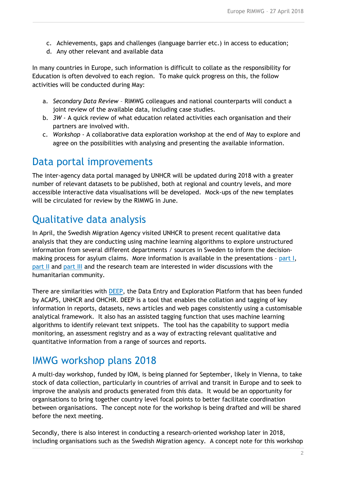- c. Achievements, gaps and challenges (language barrier etc.) in access to education;
- d. Any other relevant and available data

In many countries in Europe, such information is difficult to collate as the responsibility for Education is often devolved to each region. To make quick progress on this, the follow activities will be conducted during May:

- a. *Secondary Data Review* RIMWG colleagues and national counterparts will conduct a joint review of the available data, including case studies.
- b. *3W* A quick review of what education related activities each organisation and their partners are involved with.
- c. *Workshop* A collaborative data exploration workshop at the end of May to explore and agree on the possibilities with analysing and presenting the available information.

#### Data portal improvements

The inter-agency data portal managed by UNHCR will be updated during 2018 with a greater number of relevant datasets to be published, both at regional and country levels, and more accessible interactive data visualisations will be developed. Mock-ups of the new templates will be circulated for review by the RIMWG in June.

### Qualitative data analysis

In April, the Swedish Migration Agency visited UNHCR to present recent qualitative data analysis that they are conducting using machine learning algorithms to explore unstructured information from several different departments / sources in Sweden to inform the decisionmaking process for asylum claims. More information is available in the presentations - [part I,](https://www.dropbox.com/s/b7sdlbfmf9oydc9/Prisma%20UNHCR%20180424.ppt?dl=0) [part II](https://www.dropbox.com/s/2i6vqorx6m38j2s/presentation_Geneva.pptx?dl=0) and [part III](https://www.dropbox.com/s/z9fcuc6cf9enj02/Presentation%20Eva.ppt?dl=0) and the research team are interested in wider discussions with the humanitarian community.

There are similarities with [DEEP,](https://beta.thedeep.io/) the Data Entry and Exploration Platform that has been funded by ACAPS, UNHCR and OHCHR. DEEP is a tool that enables the collation and tagging of key information in reports, datasets, news articles and web pages consistently using a customisable analytical framework. It also has an assisted tagging function that uses machine learning algorithms to identify relevant text snippets. The tool has the capability to support media monitoring, an assessment registry and as a way of extracting relevant qualitative and quantitative information from a range of sources and reports.

#### IMWG workshop plans 2018

A multi-day workshop, funded by IOM, is being planned for September, likely in Vienna, to take stock of data collection, particularly in countries of arrival and transit in Europe and to seek to improve the analysis and products generated from this data. It would be an opportunity for organisations to bring together country level focal points to better facilitate coordination between organisations. The concept note for the workshop is being drafted and will be shared before the next meeting.

Secondly, there is also interest in conducting a research-oriented workshop later in 2018, including organisations such as the Swedish Migration agency. A concept note for this workshop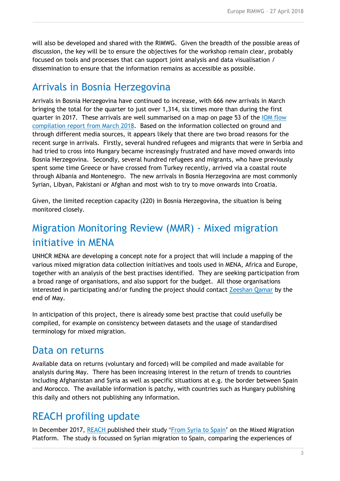will also be developed and shared with the RIMWG. Given the breadth of the possible areas of discussion, the key will be to ensure the objectives for the workshop remain clear, probably focused on tools and processes that can support joint analysis and data visualisation / dissemination to ensure that the information remains as accessible as possible.

#### Arrivals in Bosnia Herzegovina

Arrivals in Bosnia Herzegovina have continued to increase, with 666 new arrivals in March bringing the total for the quarter to just over 1,314, six times more than during the first quarter in 2017. These arrivals are well summarised on a map on page 53 of the [IOM flow](http://migration.iom.int/docs/Flows_Compilation_Report_March_2018.pdf)  [compilation report from March 2018.](http://migration.iom.int/docs/Flows_Compilation_Report_March_2018.pdf) Based on the information collected on ground and through different media sources, it appears likely that there are two broad reasons for the recent surge in arrivals. Firstly, several hundred refugees and migrants that were in Serbia and had tried to cross into Hungary became increasingly frustrated and have moved onwards into Bosnia Herzegovina. Secondly, several hundred refugees and migrants, who have previously spent some time Greece or have crossed from Turkey recently, arrived via a coastal route through Albania and Montenegro. The new arrivals in Bosnia Herzegovina are most commonly Syrian, Libyan, Pakistani or Afghan and most wish to try to move onwards into Croatia.

Given, the limited reception capacity (220) in Bosnia Herzegovina, the situation is being monitored closely.

## Migration Monitoring Review (MMR) - Mixed migration initiative in MENA

UNHCR MENA are developing a concept note for a project that will include a mapping of the various mixed migration data collection initiatives and tools used in MENA, Africa and Europe, together with an analysis of the best practises identified. They are seeking participation from a broad range of organisations, and also support for the budget. All those organisations interested in participating and/or funding the project should contact [Zeeshan Qamar](mailto:qamarz@unhcr.org) by the end of May.

In anticipation of this project, there is already some best practise that could usefully be compiled, for example on consistency between datasets and the usage of standardised terminology for mixed migration.

#### Data on returns

Available data on returns (voluntary and forced) will be compiled and made available for analysis during May. There has been increasing interest in the return of trends to countries including Afghanistan and Syria as well as specific situations at e.g. the border between Spain and Morocco. The available information is patchy, with countries such as Hungary publishing this daily and others not publishing any information.

## REACH profiling update

In December 2017, [REACH](http://www.reach-initiative.org/) published their study '[From Syria to Spain](http://mixedmigrationplatform.org/review/from-syria-to-spain/)' on the Mixed Migration Platform. The study is focussed on Syrian migration to Spain, comparing the experiences of